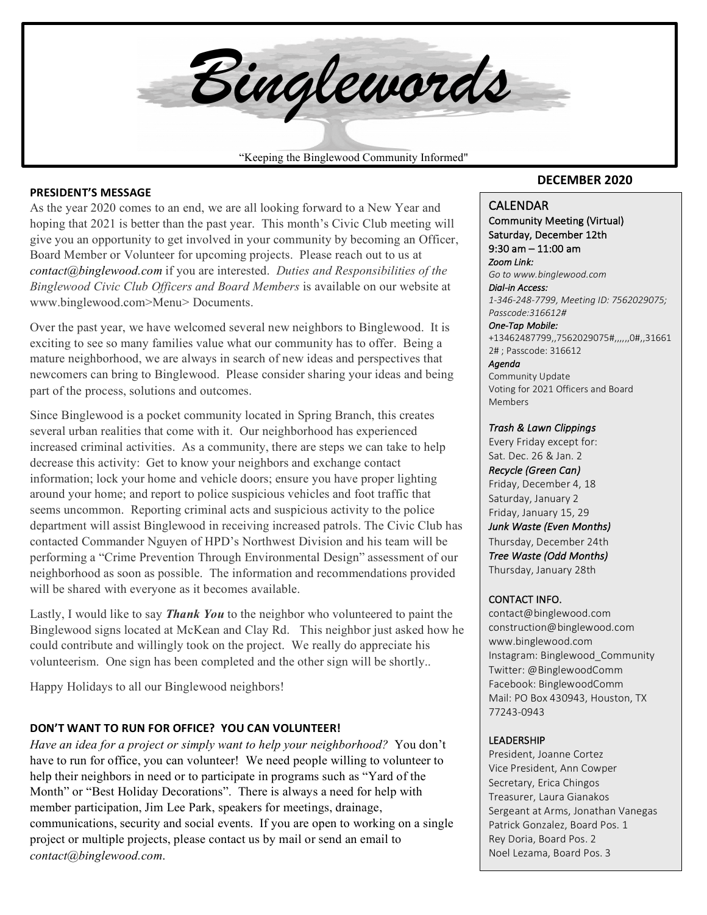"Keeping the Binglewood Community Informed" *Binglewords*

### **PRESIDENT'S MESSAGE**

As the year 2020 comes to an end, we are all looking forward to a New Year and hoping that 2021 is better than the past year. This month's Civic Club meeting will give you an opportunity to get involved in your community by becoming an Officer, Board Member or Volunteer for upcoming projects. Please reach out to us at *contact@binglewood.com* if you are interested. *Duties and Responsibilities of the Binglewood Civic Club Officers and Board Members* is available on our website at www.binglewood.com>Menu> Documents.

Over the past year, we have welcomed several new neighbors to Binglewood. It is exciting to see so many families value what our community has to offer. Being a mature neighborhood, we are always in search of new ideas and perspectives that newcomers can bring to Binglewood. Please consider sharing your ideas and being part of the process, solutions and outcomes.

Since Binglewood is a pocket community located in Spring Branch, this creates several urban realities that come with it. Our neighborhood has experienced increased criminal activities. As a community, there are steps we can take to help decrease this activity: Get to know your neighbors and exchange contact information; lock your home and vehicle doors; ensure you have proper lighting around your home; and report to police suspicious vehicles and foot traffic that seems uncommon. Reporting criminal acts and suspicious activity to the police department will assist Binglewood in receiving increased patrols. The Civic Club has contacted Commander Nguyen of HPD's Northwest Division and his team will be performing a "Crime Prevention Through Environmental Design" assessment of our neighborhood as soon as possible. The information and recommendations provided will be shared with everyone as it becomes available.

Lastly, I would like to say *Thank You* to the neighbor who volunteered to paint the Binglewood signs located at McKean and Clay Rd. This neighbor just asked how he could contribute and willingly took on the project. We really do appreciate his volunteerism. One sign has been completed and the other sign will be shortly..

Happy Holidays to all our Binglewood neighbors!

### **DON'T WANT TO RUN FOR OFFICE? YOU CAN VOLUNTEER!**

*Have an idea for a project or simply want to help your neighborhood?* You don't have to run for office, you can volunteer! We need people willing to volunteer to help their neighbors in need or to participate in programs such as "Yard of the Month" or "Best Holiday Decorations". There is always a need for help with member participation, Jim Lee Park, speakers for meetings, drainage, communications, security and social events. If you are open to working on a single project or multiple projects, please contact us by mail or send an email to *contact@binglewood.com*.

### **DECEMBER 2020**

#### CALENDAR

Community Meeting (Virtual) Saturday, December 12th  $9:30$  am  $-11:00$  am *Zoom Link: Go to www.binglewood.com Dial-in Access: 1-346-248-7799, Meeting ID: 7562029075; Passcode:316612# One-Tap Mobile:*  +13462487799,,7562029075#,,,,,,0#,,31661 2#; Passcode: 316612 *Agenda*  Community Update

Voting for 2021 Officers and Board Members

#### *Trash & Lawn Clippings*

Every Friday except for: Sat. Dec. 26 & Jan. 2 *Recycle (Green Can)*  Friday, December 4, 18 Saturday, January 2 Friday, January 15, 29 **Junk Waste (Even Months)** Thursday, December 24th *Tree Waste (Odd Months)*  Thursday, January 28th

### CONTACT INFO.

contact@binglewood.com construction@binglewood.com www.binglewood.com Instagram: Binglewood Community Twitter: @BinglewoodComm Facebook: BinglewoodComm Mail: PO Box 430943, Houston, TX 77243-0943 

### LEADERSHIP

President, Joanne Cortez Vice President, Ann Cowper Secretary, Erica Chingos Treasurer, Laura Gianakos Sergeant at Arms, Jonathan Vanegas Patrick Gonzalez, Board Pos. 1 Rey Doria, Board Pos. 2 Noel Lezama, Board Pos. 3